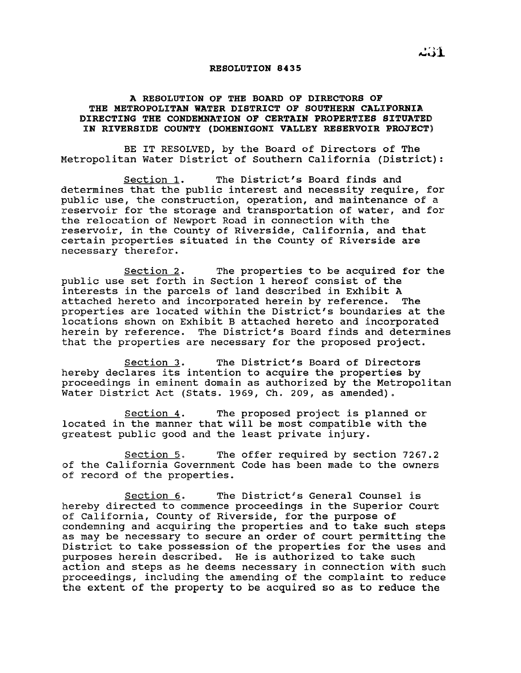## RESOLUTION 8435

## A RESOLUTION OF THE BOARD OF DIRECTORS OF THE METROPOLITAN WATER DISTRICT OF SOUTHERN CALIFORNIA DIRECTING THE CONDEMNATION OF CERTAIN PROPERTIES SITUATED IN RIVERSIDE COUNTY (DOMENIGONI VALLEY RESERVOIR PROJECT)

BE IT RESOLVED, by the Board of Directors of The Metropolitan Water District of Southern California (District):

section 1. The District's Board finds and determines that the public interest and necessity require, for public use, the construction, operation, and maintenance of a reservoir for the storage and transportation of water, and for the relocation of Newport Road in connection with the reservoir, in the County of Riverside, California, and that certain properties situated in the County of Riverside are necessary therefor.

section 2. The properties to be acquired for the public use set forth in section <sup>1</sup> hereof consist of the interests in the parcels of land described in Exhibit <sup>A</sup> attached hereto and incorporated herein by reference. properties are located within the District's boundaries at the locations shown on Exhibit B attached hereto and incorporated herein by reference. The District's Board finds and determines that the properties are necessary for the proposed project.

Section 3. The District's Board of Directors hereby declares its intention to acquire the properties by proceedings in eminent domain as authorized by the Metropolitan Water District Act (stats. 1969, Ch. 209, as amended).

section 4. The proposed project is planned or located in the manner that will be most compatible with the greatest public good and the least private injury.

section 5. The offer required by section 7267.2 of the California Government Code has been made to the owners of record of the properties.

Section 6. The District's General Counsel is hereby directed to commence proceedings in the Superior Court of California, County of Riverside, for the purpose of condemning and acquiring the properties and to take such steps as may be necessary to secure an order of court permitting the District to take possession of the properties for the uses and purposes herein described. He is authorized to take such action and steps as he deems necessary in connection with such proceedings, inclUding the amending of the complaint to reduce the extent of the property to be acquired so as to reduce the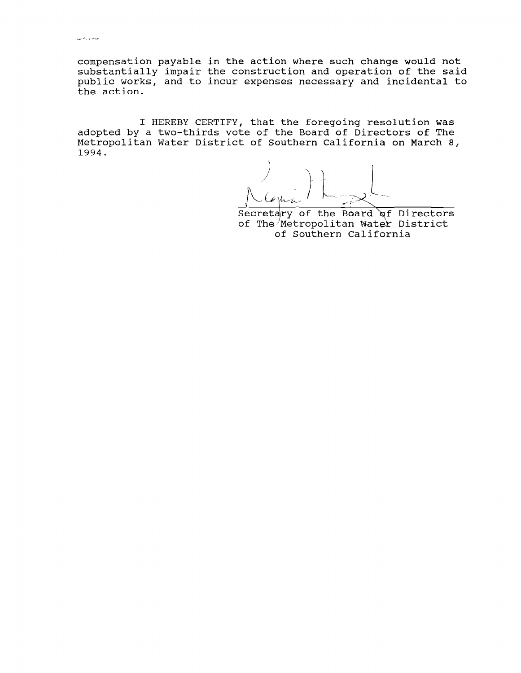compensation payable in the action where such change would not substantially impair the construction and operation of the said public works, and to incur expenses necessary and incidental to the action.

<sup>I</sup> HEREBY CERTIFY, that the foregoing resolution was adopted by a two-thirds vote of the Board of Directors of The Metropolitan Water District of Southern California on March 8, 1994.

L-"" :"

Secretary of the Board of Directors of The Metropolitan Water District of Southern California